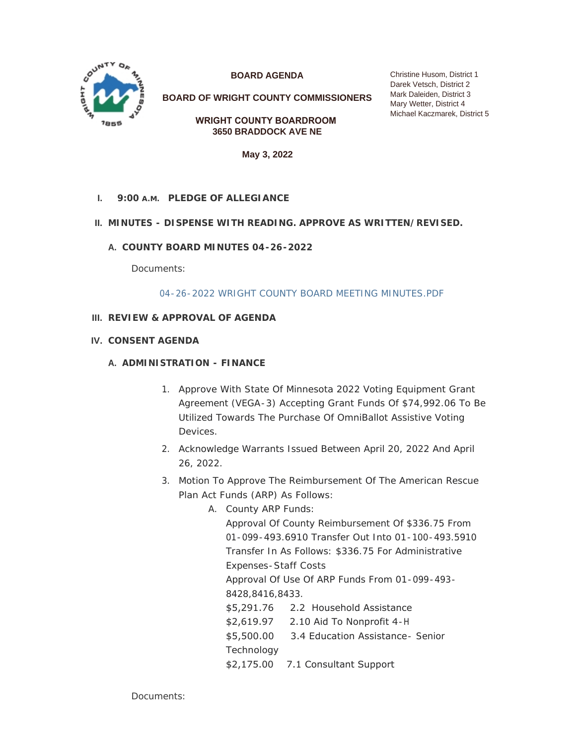

**BOARD AGENDA**

**BOARD OF WRIGHT COUNTY COMMISSIONERS**

**WRIGHT COUNTY BOARDROOM 3650 BRADDOCK AVE NE**

**May 3, 2022**

## **PLEDGE OF ALLEGIANCE I. 9:00 A.M.**

## **MINUTES - DISPENSE WITH READING. APPROVE AS WRITTEN/REVISED. II.**

**COUNTY BOARD MINUTES 04-26-2022 A.**

Documents:

#### [04-26-2022 WRIGHT COUNTY BOARD MEETING MINUTES.PDF](https://www.co.wright.mn.us/AgendaCenter/ViewFile/Item/10628?fileID=23060)

## **REVIEW & APPROVAL OF AGENDA III.**

**CONSENT AGENDA IV.**

#### **A. ADMINISTRATION - FINANCE**

- 1. Approve With State Of Minnesota 2022 Voting Equipment Grant Agreement (VEGA-3) Accepting Grant Funds Of \$74,992.06 To Be Utilized Towards The Purchase Of OmniBallot Assistive Voting Devices.
- 2. Acknowledge Warrants Issued Between April 20, 2022 And April 26, 2022.
- 3. Motion To Approve The Reimbursement Of The American Rescue Plan Act Funds (ARP) As Follows:
	- A. County ARP Funds:

Approval Of County Reimbursement Of \$336.75 From 01-099-493.6910 Transfer Out Into 01-100-493.5910 Transfer In As Follows: \$336.75 For Administrative Expenses-Staff Costs Approval Of Use Of ARP Funds From 01-099-493- 8428,8416,8433. \$5,291.76 2.2 Household Assistance \$2,619.97 2.10 Aid To Nonprofit 4-H \$5,500.00 3.4 Education Assistance- Senior Technology \$2,175.00 7.1 Consultant Support

Documents:

Christine Husom, District 1 Darek Vetsch, District 2 Mark Daleiden, District 3 Mary Wetter, District 4 Michael Kaczmarek, District 5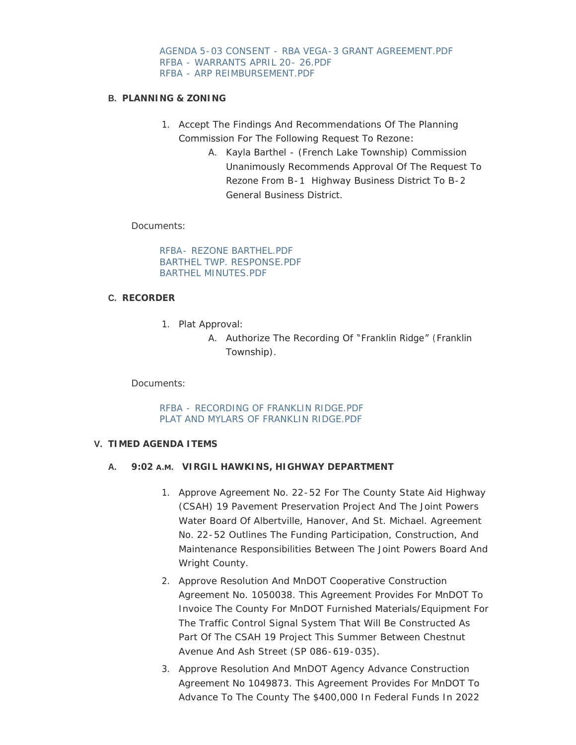[AGENDA 5-03 CONSENT - RBA VEGA-3 GRANT AGREEMENT.PDF](https://www.co.wright.mn.us/AgendaCenter/ViewFile/Item/10611?fileID=23029) [RFBA - WARRANTS APRIL 20- 26.PDF](https://www.co.wright.mn.us/AgendaCenter/ViewFile/Item/10611?fileID=23057) [RFBA - ARP REIMBURSEMENT.PDF](https://www.co.wright.mn.us/AgendaCenter/ViewFile/Item/10611?fileID=23058)

### **PLANNING & ZONING B.**

- 1. Accept The Findings And Recommendations Of The Planning Commission For The Following Request To Rezone:
	- A. Kayla Barthel (French Lake Township) Commission Unanimously Recommends Approval Of The Request To Rezone From B-1 Highway Business District To B-2 General Business District.

### Documents:

RFBA- [REZONE BARTHEL.PDF](https://www.co.wright.mn.us/AgendaCenter/ViewFile/Item/10608?fileID=23061) [BARTHEL TWP. RESPONSE.PDF](https://www.co.wright.mn.us/AgendaCenter/ViewFile/Item/10608?fileID=23027) [BARTHEL MINUTES.PDF](https://www.co.wright.mn.us/AgendaCenter/ViewFile/Item/10608?fileID=23028)

# **RECORDER C.**

1. Plat Approval:

A. Authorize The Recording Of "Franklin Ridge" (Franklin Township).

Documents:

RFBA - [RECORDING OF FRANKLIN RIDGE.PDF](https://www.co.wright.mn.us/AgendaCenter/ViewFile/Item/10618?fileID=23054) [PLAT AND MYLARS OF FRANKLIN RIDGE.PDF](https://www.co.wright.mn.us/AgendaCenter/ViewFile/Item/10618?fileID=23055)

#### **TIMED AGENDA ITEMS V.**

# **VIRGIL HAWKINS, HIGHWAY DEPARTMENT A. 9:02 A.M.**

- 1. Approve Agreement No. 22-52 For The County State Aid Highway (CSAH) 19 Pavement Preservation Project And The Joint Powers Water Board Of Albertville, Hanover, And St. Michael. Agreement No. 22-52 Outlines The Funding Participation, Construction, And Maintenance Responsibilities Between The Joint Powers Board And Wright County.
- 2. Approve Resolution And MnDOT Cooperative Construction Agreement No. 1050038. This Agreement Provides For MnDOT To Invoice The County For MnDOT Furnished Materials/Equipment For The Traffic Control Signal System That Will Be Constructed As Part Of The CSAH 19 Project This Summer Between Chestnut Avenue And Ash Street (SP 086-619-035).
- 3. Approve Resolution And MnDOT Agency Advance Construction Agreement No 1049873. This Agreement Provides For MnDOT To Advance To The County The \$400,000 In Federal Funds In 2022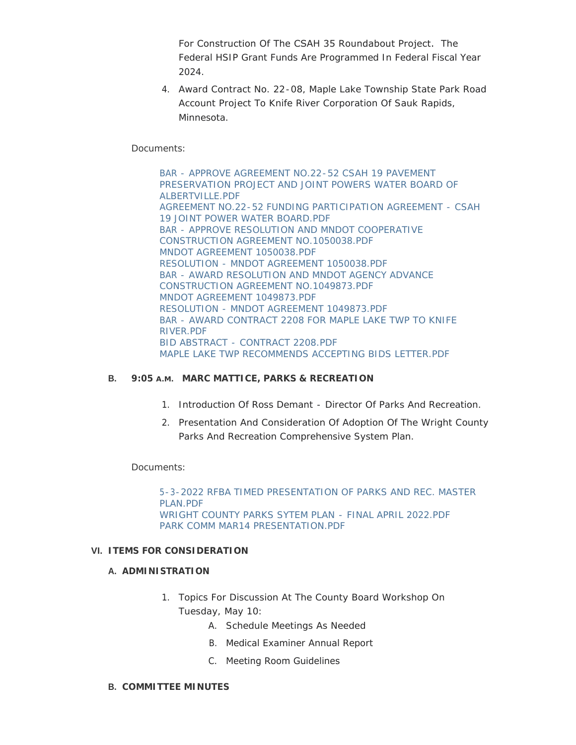For Construction Of The CSAH 35 Roundabout Project. The Federal HSIP Grant Funds Are Programmed In Federal Fiscal Year 2024.

4. Award Contract No. 22-08, Maple Lake Township State Park Road Account Project To Knife River Corporation Of Sauk Rapids, Minnesota.

# Documents:

BAR - APPROVE AGREEMENT NO.22-52 CSAH 19 PAVEMENT [PRESERVATION PROJECT AND JOINT POWERS WATER BOARD OF](https://www.co.wright.mn.us/AgendaCenter/ViewFile/Item/10616?fileID=23040)  ALBERTVILLE.PDF [AGREEMENT NO.22-52 FUNDING PARTICIPATION AGREEMENT - CSAH](https://www.co.wright.mn.us/AgendaCenter/ViewFile/Item/10616?fileID=23039)  19 JOINT POWER WATER BOARD.PDF [BAR - APPROVE RESOLUTION AND MNDOT COOPERATIVE](https://www.co.wright.mn.us/AgendaCenter/ViewFile/Item/10616?fileID=23041)  CONSTRUCTION AGREEMENT NO.1050038.PDF [MNDOT AGREEMENT 1050038.PDF](https://www.co.wright.mn.us/AgendaCenter/ViewFile/Item/10616?fileID=23047) [RESOLUTION - MNDOT AGREEMENT 1050038.PDF](https://www.co.wright.mn.us/AgendaCenter/ViewFile/Item/10616?fileID=23056) [BAR - AWARD RESOLUTION AND MNDOT AGENCY ADVANCE](https://www.co.wright.mn.us/AgendaCenter/ViewFile/Item/10616?fileID=23043)  CONSTRUCTION AGREEMENT NO.1049873.PDF [MNDOT AGREEMENT 1049873.PDF](https://www.co.wright.mn.us/AgendaCenter/ViewFile/Item/10616?fileID=23046) [RESOLUTION - MNDOT AGREEMENT 1049873.PDF](https://www.co.wright.mn.us/AgendaCenter/ViewFile/Item/10616?fileID=23048) [BAR - AWARD CONTRACT 2208 FOR MAPLE LAKE TWP TO KNIFE](https://www.co.wright.mn.us/AgendaCenter/ViewFile/Item/10616?fileID=23042)  RIVER.PDF [BID ABSTRACT - CONTRACT 2208.PDF](https://www.co.wright.mn.us/AgendaCenter/ViewFile/Item/10616?fileID=23044) [MAPLE LAKE TWP RECOMMENDS ACCEPTING BIDS LETTER.PDF](https://www.co.wright.mn.us/AgendaCenter/ViewFile/Item/10616?fileID=23045)

# **B.** 9:05 A.M. MARC MATTICE, PARKS & RECREATION

- 1. Introduction Of Ross Demant Director Of Parks And Recreation.
- 2. Presentation And Consideration Of Adoption Of The Wright County Parks And Recreation Comprehensive System Plan.

Documents:

[5-3-2022 RFBA TIMED PRESENTATION OF PARKS AND REC. MASTER](https://www.co.wright.mn.us/AgendaCenter/ViewFile/Item/10612?fileID=23030)  PLAN.PDF [WRIGHT COUNTY PARKS SYTEM PLAN - FINAL APRIL 2022.PDF](https://www.co.wright.mn.us/AgendaCenter/ViewFile/Item/10612?fileID=23031) [PARK COMM MAR14 PRESENTATION.PDF](https://www.co.wright.mn.us/AgendaCenter/ViewFile/Item/10612?fileID=23032)

# **ITEMS FOR CONSIDERATION VI.**

#### **A. ADMINISTRATION**

- 1. Topics For Discussion At The County Board Workshop On Tuesday, May 10:
	- A. Schedule Meetings As Needed
	- B. Medical Examiner Annual Report
	- C. Meeting Room Guidelines

## **COMMITTEE MINUTES B.**